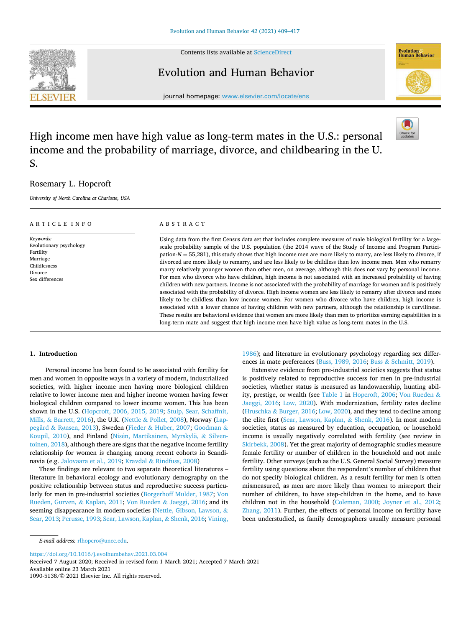

Contents lists available at [ScienceDirect](www.sciencedirect.com/science/journal/10905138)

## Evolution and Human Behavior



journal homepage: [www.elsevier.com/locate/ens](https://www.elsevier.com/locate/ens) 

# High income men have high value as long-term mates in the U.S.: personal income and the probability of marriage, divorce, and childbearing in the U. S.

## Rosemary L. Hopcroft

*University of North Carolina at Charlotte, USA* 

| ARTICLE INFO                                                                                                | ABSTRACT                                                                                                                                                                                                                                                                                                                                                                                                                                                                                                                                                                                                                                                                                                                                                                                                                                                                                                                                                                                                                                                                                                                                                                                                                                                                                                                                                                                             |
|-------------------------------------------------------------------------------------------------------------|------------------------------------------------------------------------------------------------------------------------------------------------------------------------------------------------------------------------------------------------------------------------------------------------------------------------------------------------------------------------------------------------------------------------------------------------------------------------------------------------------------------------------------------------------------------------------------------------------------------------------------------------------------------------------------------------------------------------------------------------------------------------------------------------------------------------------------------------------------------------------------------------------------------------------------------------------------------------------------------------------------------------------------------------------------------------------------------------------------------------------------------------------------------------------------------------------------------------------------------------------------------------------------------------------------------------------------------------------------------------------------------------------|
| Keywords:<br>Evolutionary psychology<br>Fertility<br>Marriage<br>Childlesness<br>Divorce<br>Sex differences | Using data from the first Census data set that includes complete measures of male biological fertility for a large-<br>scale probability sample of the U.S. population (the 2014 wave of the Study of Income and Program Partici-<br>pation- $N = 55,281$ ), this study shows that high income men are more likely to marry, are less likely to divorce, if<br>divorced are more likely to remarry, and are less likely to be childless than low income men. Men who remarry<br>marry relatively younger women than other men, on average, although this does not vary by personal income.<br>For men who divorce who have children, high income is not associated with an increased probability of having<br>children with new partners. Income is not associated with the probability of marriage for women and is positively<br>associated with the probability of divorce. High income women are less likely to remarry after divorce and more<br>likely to be childless than low income women. For women who divorce who have children, high income is<br>associated with a lower chance of having children with new partners, although the relationship is curvilinear.<br>These results are behavioral evidence that women are more likely than men to prioritize earning capabilities in a<br>long-term mate and suggest that high income men have high value as long-term mates in the U.S. |

## **1. Introduction**

Personal income has been found to be associated with fertility for men and women in opposite ways in a variety of modern, industrialized societies, with higher income men having more biological children relative to lower income men and higher income women having fewer biological children compared to lower income women. This has been shown in the U.S. ([Hopcroft, 2006, 2015, 2019;](#page-8-0) [Stulp, Sear, Schaffnit,](#page-8-0)  Mills, & [Barrett, 2016](#page-8-0)), the U.K. (Nettle & [Pollet, 2008\)](#page-8-0), Norway [\(Lap](#page-8-0)pegård & Rø[nsen, 2013\)](#page-8-0), Sweden (Fieder & [Huber, 2007;](#page-7-0) [Goodman](#page-7-0) & [Koupil, 2010](#page-7-0)), and Finland (Nisén, Martikainen, Myrskylä, & Silven[toinen, 2018](#page-8-0)), although there are signs that the negative income fertility relationship for women is changing among recent cohorts in Scandinavia (e.g. [Jalovaara et al., 2019;](#page-8-0) Kravdal & [Rindfuss, 2008\)](#page-8-0)

These findings are relevant to two separate theoretical literatures – literature in behavioral ecology and evolutionary demography on the positive relationship between status and reproductive success particularly for men in pre-industrial societies ([Borgerhoff Mulder, 1987;](#page-7-0) [Von](#page-8-0)  [Rueden, Gurven,](#page-8-0) & Kaplan, 2011; [Von Rueden](#page-8-0) & Jaeggi, 2016; and its seeming disappearance in modern societies [\(Nettle, Gibson, Lawson,](#page-8-0) & [Sear, 2013; Perusse, 1993; Sear, Lawson, Kaplan,](#page-8-0) & Shenk, 2016; [Vining,](#page-8-0) 

[1986\)](#page-8-0); and literature in evolutionary psychology regarding sex differences in mate preferences [\(Buss, 1989, 2016;](#page-7-0) Buss & [Schmitt, 2019\)](#page-7-0).

Extensive evidence from pre-industrial societies suggests that status is positively related to reproductive success for men in pre-industrial societies, whether status is measured as landownership, hunting ability, prestige, or wealth (see [Table 1](#page-1-0) in [Hopcroft, 2006](#page-8-0); [Von Rueden](#page-8-0) & [Jaeggi, 2016;](#page-8-0) [Low, 2020\)](#page-8-0). With modernization, fertility rates decline (Hruschka & [Burger, 2016; Low, 2020](#page-8-0)), and they tend to decline among the elite first [\(Sear, Lawson, Kaplan,](#page-8-0) & Shenk, 2016). In most modern societies, status as measured by education, occupation, or household income is usually negatively correlated with fertility (see review in [Skirbekk, 2008](#page-8-0)). Yet the great majority of demographic studies measure female fertility or number of children in the household and not male fertility. Other surveys (such as the U.S. General Social Survey) measure fertility using questions about the respondent's number of children that do not specify biological children. As a result fertility for men is often mismeasured, as men are more likely than women to misreport their number of children, to have step-children in the home, and to have children not in the household ([Coleman, 2000;](#page-7-0) [Joyner et al., 2012](#page-8-0); [Zhang, 2011](#page-8-0)). Further, the effects of personal income on fertility have been understudied, as family demographers usually measure personal

<https://doi.org/10.1016/j.evolhumbehav.2021.03.004>

Available online 23 March 2021 Received 7 August 2020; Received in revised form 1 March 2021; Accepted 7 March 2021

1090-5138/© 2021 Elsevier Inc. All rights reserved.

*E-mail address:* [rlhopcro@uncc.edu](mailto:rlhopcro@uncc.edu).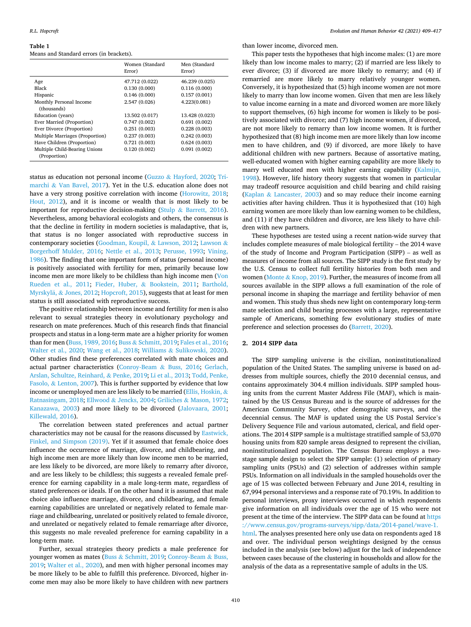#### <span id="page-1-0"></span>**Table 1**

#### Means and Standard errors (in brackets).

|                                               | Women (Standard<br>Error) | Men (Standard<br>Error) |
|-----------------------------------------------|---------------------------|-------------------------|
| Age                                           | 47.712 (0.022)            | 46.239 (0.025)          |
| Black                                         | 0.130(0.000)              | 0.116(0.000)            |
| Hispanic                                      | 0.146(0.000)              | 0.157(0.001)            |
| Monthly Personal Income<br>(thousands)        | 2.547 (0.026)             | 4.223(0.081)            |
| Education (years)                             | 13.502 (0.017)            | 13.428 (0.023)          |
| Ever Married (Proportion)                     | 0.747(0.002)              | 0.691(0.002)            |
| Ever Divorce (Proportion)                     | 0.251(0.003)              | 0.228(0.003)            |
| Multiple Marriages (Proportion)               | 0.237(0.003)              | 0.242(0.003)            |
| Have Children (Proportion)                    | 0.721(0.003)              | 0.624(0.003)            |
| Multiple Child-Bearing Unions<br>(Proportion) | 0.120(0.002)              | 0.091(0.002)            |

status as education not personal income (Guzzo & [Hayford, 2020;](#page-8-0) [Tri](#page-8-0)marchi & [Van Bavel, 2017\)](#page-8-0). Yet in the U.S. education alone does not have a very strong positive correlation with income ([Horowitz, 2018](#page-8-0); [Hout, 2012\)](#page-8-0), and it is income or wealth that is most likely to be important for reproductive decision-making (Stulp & [Barrett, 2016](#page-8-0)). Nevertheless, among behavioral ecologists and others, the consensus is that the decline in fertility in modern societies is maladaptive, that is, that status is no longer associated with reproductive success in contemporary societies [\(Goodman, Koupil,](#page-7-0) & Lawson, 2012; [Lawson](#page-8-0) & [Borgerhoff Mulder, 2016;](#page-8-0) [Nettle et al., 2013](#page-8-0); [Perusse, 1993](#page-8-0); [Vining,](#page-8-0)  [1986\)](#page-8-0). The finding that one important form of status (personal income) is positively associated with fertility for men, primarily because low income men are more likely to be childless than high income men ([Von](#page-8-0)  [Rueden et al., 2011;](#page-8-0) Fieder, Huber, & [Bookstein, 2011](#page-7-0); [Barthold,](#page-7-0)  Myrskylä, & [Jones, 2012;](#page-7-0) [Hopcroft, 2015](#page-8-0)), suggests that at least for men status is still associated with reproductive success.

The positive relationship between income and fertility for men is also relevant to sexual strategies theory in evolutionary psychology and research on mate preferences. Much of this research finds that financial prospects and status in a long-term mate are a higher priority for women than for men ([Buss, 1989, 2016](#page-7-0); Buss & [Schmitt, 2019](#page-7-0); [Fales et al., 2016](#page-7-0); [Walter et al., 2020](#page-8-0); [Wang et al., 2018](#page-8-0); Williams & [Sulikowski, 2020](#page-8-0)). Other studies find these preferences correlated with mate choices and actual partner characteristics ([Conroy-Beam](#page-7-0) & Buss, 2016; [Gerlach,](#page-7-0)  [Arslan, Schultze, Reinhard,](#page-7-0) & Penke, 2019; [Li et al., 2013; Todd, Penke,](#page-8-0)  Fasolo, & [Lenton, 2007](#page-8-0)). This is further supported by evidence that low income or unemployed men are less likely to be married [\(Ellis, Hoskin,](#page-7-0) & [Ratnasingam, 2018;](#page-7-0) Ellwood & [Jencks, 2004;](#page-7-0) Griliches & [Mason, 1972](#page-8-0); [Kanazawa, 2003\)](#page-8-0) and more likely to be divorced [\(Jalovaara, 2001](#page-8-0); [Killewald, 2016](#page-8-0)).

The correlation between stated preferences and actual partner characteristics may not be causal for the reasons discussed by [Eastwick,](#page-7-0)  [Finkel, and Simpson \(2019\).](#page-7-0) Yet if it assumed that female choice does influence the occurrence of marriage, divorce, and childbearing, and high income men are more likely than low income men to be married, are less likely to be divorced, are more likely to remarry after divorce, and are less likely to be childless; this suggests a revealed female preference for earning capability in a male long-term mate, regardless of stated preferences or ideals. If on the other hand it is assumed that male choice also influence marriage, divorce, and childbearing, and female earning capabilities are unrelated or negatively related to female marriage and childbearing, unrelated or positively related to female divorce, and unrelated or negatively related to female remarriage after divorce, this suggests no male revealed preference for earning capability in a long-term mate.

Further, sexual strategies theory predicts a male preference for younger women as mates (Buss & [Schmitt, 2019; Conroy-Beam](#page-7-0) & Buss, [2019;](#page-7-0) [Walter et al., 2020](#page-8-0)), and men with higher personal incomes may be more likely to be able to fulfill this preference. Divorced, higher income men may also be more likely to have children with new partners

than lower income, divorced men.

This paper tests the hypotheses that high income males: (1) are more likely than low income males to marry; (2) if married are less likely to ever divorce; (3) if divorced are more likely to remarry; and (4) if remarried are more likely to marry relatively younger women. Conversely, it is hypothesized that (5) high income women are not more likely to marry than low income women. Given that men are less likely to value income earning in a mate and divorced women are more likely to support themselves, (6) high income for women is likely to be positively associated with divorce; and (7) high income women, if divorced, are not more likely to remarry than low income women. It is further hypothesized that (8) high income men are more likely than low income men to have children, and (9) if divorced, are more likely to have additional children with new partners. Because of assortative mating, well-educated women with higher earning capability are more likely to marry well educated men with higher earning capability ([Kalmijn,](#page-8-0)  [1998\)](#page-8-0). However, life history theory suggests that women in particular may tradeoff resource acquisition and child bearing and child raising (Kaplan & [Lancaster, 2003\)](#page-8-0) and so may reduce their income earning activities after having children. Thus it is hypothesized that (10) high earning women are more likely than low earning women to be childless, and (11) if they have children and divorce, are less likely to have children with new partners.

These hypotheses are tested using a recent nation-wide survey that includes complete measures of male biological fertility – the 2014 wave of the study of Income and Program Participation (SIPP) – as well as measures of income from all sources. The SIPP study is the first study by the U.S. Census to collect full fertility histories from both men and women (Monte & [Knop, 2019\)](#page-8-0). Further, the measures of income from all sources available in the SIPP allows a full examination of the role of personal income in shaping the marriage and fertility behavior of men and women. This study thus sheds new light on contemporary long-term mate selection and child bearing processes with a large, representative sample of Americans, something few evolutionary studies of mate preference and selection processes do ([Barrett, 2020\)](#page-7-0).

## **2. 2014 SIPP data**

The SIPP sampling universe is the civilian, noninstitutionalized population of the United States. The sampling universe is based on addresses from multiple sources, chiefly the 2010 decennial census, and contains approximately 304.4 million individuals. SIPP sampled housing units from the current Master Address File (MAF), which is maintained by the US Census Bureau and is the source of addresses for the American Community Survey, other demographic surveys, and the decennial census. The MAF is updated using the US Postal Service's Delivery Sequence File and various automated, clerical, and field operations. The 2014 SIPP sample is a multistage stratified sample of 53,070 housing units from 820 sample areas designed to represent the civilian, noninstitutionalized population. The Census Bureau employs a twostage sample design to select the SIPP sample: (1) selection of primary sampling units (PSUs) and (2) selection of addresses within sample PSUs. Information on all individuals in the sampled households over the age of 15 was collected between February and June 2014, resulting in 67,994 personal interviews and a response rate of 70.19%. In addition to personal interviews, proxy interviews occurred in which respondents give information on all individuals over the age of 15 who were not present at the time of the interview. The SIPP data can be found at [https](https://www.census.gov/programs-surveys/sipp/data/2014-panel/wave-1.html)  [://www.census.gov/programs-surveys/sipp/data/2014-panel/wave-1.](https://www.census.gov/programs-surveys/sipp/data/2014-panel/wave-1.html)  [html](https://www.census.gov/programs-surveys/sipp/data/2014-panel/wave-1.html). The analyses presented here only use data on respondents aged 18 and over. The individual person weightings designed by the census included in the analysis (see below) adjust for the lack of independence between cases because of the clustering in households and allow for the analysis of the data as a representative sample of adults in the US.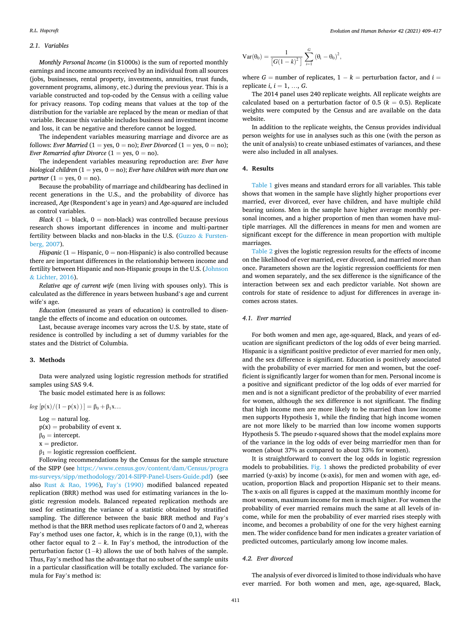## *2.1. Variables*

*Monthly Personal Income* (in \$1000s) is the sum of reported monthly earnings and income amounts received by an individual from all sources (jobs, businesses, rental property, investments, annuities, trust funds, government programs, alimony, etc.) during the previous year. This is a variable constructed and top-coded by the Census with a ceiling value for privacy reasons. Top coding means that values at the top of the distribution for the variable are replaced by the mean or median of that variable. Because this variable includes business and investment income and loss, it can be negative and therefore cannot be logged.

The independent variables measuring marriage and divorce are as follows: *Ever Married* (1 = yes, 0 = no); *Ever Divorced* (1 = yes, 0 = no); *Ever Remarried after Divorce*  $(1 = yes, 0 = no)$ *.* 

The independent variables measuring reproduction are: *Ever have biological children* (1 = yes, 0 = no); *Ever have children with more than one partner*  $(1 = \text{yes}, 0 = \text{no}).$ 

Because the probability of marriage and childbearing has declined in recent generations in the U.S., and the probability of divorce has increased, *Age* (Respondent's age in years) and *Age-squared* are included as control variables.

*Black*  $(1 = \text{black}, 0 = \text{non-black})$  was controlled because previous research shows important differences in income and multi-partner fertility between blacks and non-blacks in the U.S. (Guzzo & [Fursten](#page-8-0)[berg, 2007\)](#page-8-0).

*Hispanic* ( $1 =$  *Hispanic*,  $0 =$  non-*Hispanic*) is also controlled because there are important differences in the relationship between income and fertility between Hispanic and non-Hispanic groups in the U.S. [\(Johnson](#page-8-0)  & [Lichter, 2016](#page-8-0)).

*Relative age of current wife* (men living with spouses only). This is calculated as the difference in years between husband's age and current wife's age.

*Education* (measured as years of education) is controlled to disentangle the effects of income and education on outcomes.

Last, because average incomes vary across the U.S. by state, state of residence is controlled by including a set of dummy variables for the states and the District of Columbia.

## **3. Methods**

Data were analyzed using logistic regression methods for stratified samples using SAS 9.4.

The basic model estimated here is as follows:

 $log [p(x)/(1-p(x))] = \beta_0 + \beta_1 x...$ 

 $Log = natural log.$ 

- $p(x) =$  probability of event x.
- $\beta_0 =$  intercept.
- $x =$  predictor.

 $\beta_1$  = logistic regression coefficient.

Following recommendations by the Census for the sample structure of the SIPP (see [https://www.census.gov/content/dam/Census/progra](https://www.census.gov/content/dam/Census/programs-surveys/sipp/methodology/2014-SIPP-Panel-Users-Guide.pdf)  [ms-surveys/sipp/methodology/2014-SIPP-Panel-Users-Guide.pdf](https://www.census.gov/content/dam/Census/programs-surveys/sipp/methodology/2014-SIPP-Panel-Users-Guide.pdf)) (see also Rust & [Rao, 1996](#page-8-0)), Fay'[s \(1990\)](#page-7-0) modified balanced repeated replication (BRR) method was used for estimating variances in the logistic regression models. Balanced repeated replication methods are used for estimating the variance of a statistic obtained by stratified sampling. The difference between the basic BRR method and Fay's method is that the BRR method uses replicate factors of 0 and 2, whereas Fay's method uses one factor, *k*, which is in the range (0,1), with the other factor equal to  $2 - k$ . In Fay's method, the introduction of the perturbation factor (1−*k*) allows the use of both halves of the sample. Thus, Fay's method has the advantage that no subset of the sample units in a particular classification will be totally excluded. The variance formula for Fay's method is:

$$
Var(\theta_0)=\frac{1}{\left[G(1-k)^2\right]}\sum_{i=1}^G\left(\theta_i-\theta_0\right)^2,
$$

where  $G =$  number of replicates,  $1 - k =$  perturbation factor, and  $i =$ replicate *i*,  $i = 1, ..., G$ .

The 2014 panel uses 240 replicate weights. All replicate weights are calculated based on a perturbation factor of 0.5 ( $k = 0.5$ ). Replicate weights were computed by the Census and are available on the data website.

In addition to the replicate weights, the Census provides individual person weights for use in analyses such as this one (with the person as the unit of analysis) to create unbiased estimates of variances, and these were also included in all analyses.

## **4. Results**

[Table 1](#page-1-0) gives means and standard errors for all variables. This table shows that women in the sample have slightly higher proportions ever married, ever divorced, ever have children, and have multiple child bearing unions. Men in the sample have higher average monthly personal incomes, and a higher proportion of men than women have multiple marriages. All the differences in means for men and women are significant except for the difference in mean proportion with multiple marriages.

[Table 2](#page-3-0) gives the logistic regression results for the effects of income on the likelihood of ever married, ever divorced, and married more than once. Parameters shown are the logistic regression coefficients for men and women separately, and the sex difference is the significance of the interaction between sex and each predictor variable. Not shown are controls for state of residence to adjust for differences in average incomes across states.

#### *4.1. Ever married*

For both women and men age, age-squared, Black, and years of education are significant predictors of the log odds of ever being married. Hispanic is a significant positive predictor of ever married for men only, and the sex difference is significant. Education is positively associated with the probability of ever married for men and women, but the coefficient is significantly larger for women than for men. Personal income is a positive and significant predictor of the log odds of ever married for men and is not a significant predictor of the probability of ever married for women, although the sex difference is not significant. The finding that high income men are more likely to be married than low income men supports Hypothesis 1, while the finding that high income women are not more likely to be married than low income women supports Hypothesis 5. The pseudo r-squared shows that the model explains more of the variance in the log odds of ever being marriedfor men than for women (about 37% as compared to about 33% for women).

It is straightforward to convert the log odds in logistic regression models to probabilities. [Fig. 1](#page-3-0) shows the predicted probability of ever married (y-axis) by income (x-axis), for men and women with age, education, proportion Black and proportion Hispanic set to their means. The x-axis on all figures is capped at the maximum monthly income for most women, maximum income for men is much higher. For women the probability of ever married remains much the same at all levels of income, while for men the probability of ever married rises steeply with income, and becomes a probability of one for the very highest earning men. The wider confidence band for men indicates a greater variation of predicted outcomes, particularly among low income males.

## *4.2. Ever divorced*

The analysis of ever divorced is limited to those individuals who have ever married. For both women and men, age, age-squared, Black,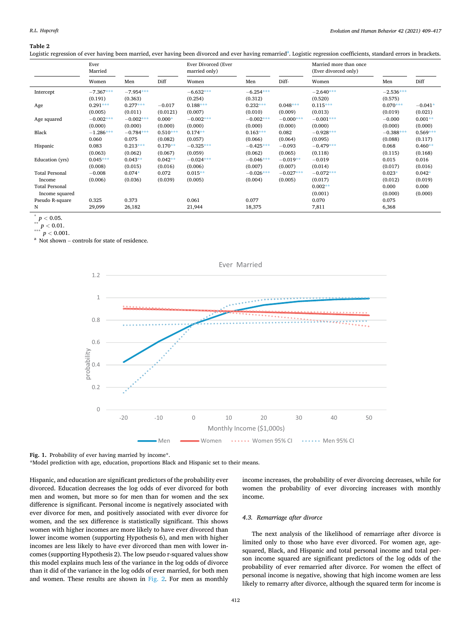#### <span id="page-3-0"></span>**Table 2**

Logistic regression of ever having been married, ever having been divorced and ever having remarried<sup>a</sup>. Logistic regression coefficients, standard errors in brackets.

|                       | Ever<br>Married |             |            | Ever Divorced (Ever<br>married only) |             |             | Married more than once<br>(Ever divorced only) |             |            |
|-----------------------|-----------------|-------------|------------|--------------------------------------|-------------|-------------|------------------------------------------------|-------------|------------|
|                       | Women           | Men         | Diff       | Women                                | Men         | Diff-       | Women                                          | Men         | Diff       |
| Intercept             | $-7.367***$     | $-7.954***$ |            | $-6.632***$                          | $-6.254***$ |             | $-2.640***$                                    | $-2.536***$ |            |
|                       | (0.191)         | (0.363)     |            | (0.254)                              | (0.312)     |             | (0.520)                                        | (0.575)     |            |
| Age                   | $0.291***$      | $0.277***$  | $-0.017$   | $0.188***$                           | $0.232***$  | $0.048***$  | $0.115***$                                     | $0.070***$  | $-0.041*$  |
|                       | (0.005)         | (0.011)     | (0.0121)   | (0.007)                              | (0.010)     | (0.009)     | (0.013)                                        | (0.019)     | (0.021)    |
| Age squared           | $-0.002***$     | $-0.002***$ | $0.000*$   | $-0.002***$                          | $-0.002***$ | $-0.000***$ | $-0.001***$                                    | $-0.000$    | $0.001**$  |
|                       | (0.000)         | (0.000)     | (0.000)    | (0.000)                              | (0.000)     | (0.000)     | (0.000)                                        | (0.000)     | (0.000)    |
| Black                 | $-1.286***$     | $-0.784***$ | $0.510***$ | $0.174**$                            | $0.163***$  | 0.082       | $-0.928***$                                    | $-0.388***$ | $0.569***$ |
|                       | 0.060           | 0.075       | (0.082)    | (0.057)                              | (0.066)     | (0.064)     | (0.095)                                        | (0.088)     | (0.117)    |
| Hispanic              | 0.083           | $0.213***$  | $0.170**$  | $-0.325***$                          | $-0.425***$ | $-0.093$    | $-0.479***$                                    | 0.068       | $0.460**$  |
|                       | (0.063)         | (0.062)     | (0.067)    | (0.059)                              | (0.062)     | (0.065)     | (0.118)                                        | (0.115)     | (0.168)    |
| Education (yrs)       | $0.045***$      | $0.043**$   | $0.042**$  | $-0.024***$                          | $-0.046***$ | $-0.019**$  | $-0.019$                                       | 0.015       | 0.016      |
|                       | (0.008)         | (0.015)     | (0.016)    | (0.006)                              | (0.007)     | (0.007)     | (0.014)                                        | (0.017)     | (0.016)    |
| <b>Total Personal</b> | $-0.008$        | $0.074*$    | 0.072      | $0.015**$                            | $-0.026***$ | $-0.027***$ | $-0.072***$                                    | $0.023*$    | $0.042*$   |
| Income                | (0.006)         | (0.036)     | (0.039)    | (0.005)                              | (0.004)     | (0.005)     | (0.017)                                        | (0.012)     | (0.019)    |
| <b>Total Personal</b> |                 |             |            |                                      |             |             | $0.002**$                                      | 0.000       | 0.000      |
| Income squared        |                 |             |            |                                      |             |             | (0.001)                                        | (0.000)     | (0.000)    |
| Pseudo R-square       | 0.325           | 0.373       |            | 0.061                                | 0.077       |             | 0.070                                          | 0.075       |            |
| N                     | 29,099          | 26,182      |            | 21,944                               | 18,375      |             | 7,811                                          | 6,368       |            |

 $p < 0.05$ .

 $\sum_{***}^{**} p < 0.01.$ 

 $p < 0.001$ .

<sup>a</sup> Not shown – controls for state of residence.



Fig. 1. Probability of ever having married by income\*.

\*Model prediction with age, education, proportions Black and Hispanic set to their means.

Hispanic, and education are significant predictors of the probability ever divorced. Education decreases the log odds of ever divorced for both men and women, but more so for men than for women and the sex difference is significant. Personal income is negatively associated with ever divorce for men, and positively associated with ever divorce for women, and the sex difference is statistically significant. This shows women with higher incomes are more likely to have ever divorced than lower income women (supporting Hypothesis 6), and men with higher incomes are less likely to have ever divorced than men with lower incomes (supporting Hypothesis 2). The low pseudo r-squared values show this model explains much less of the variance in the log odds of divorce than it did of the variance in the log odds of ever married, for both men and women. These results are shown in [Fig. 2.](#page-4-0) For men as monthly income increases, the probability of ever divorcing decreases, while for women the probability of ever divorcing increases with monthly income.

#### *4.3. Remarriage after divorce*

The next analysis of the likelihood of remarriage after divorce is limited only to those who have ever divorced. For women age, agesquared, Black, and Hispanic and total personal income and total person income squared are significant predictors of the log odds of the probability of ever remarried after divorce. For women the effect of personal income is negative, showing that high income women are less likely to remarry after divorce, although the squared term for income is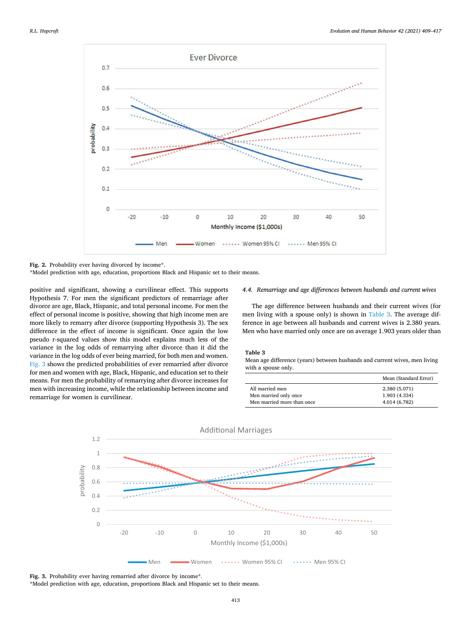<span id="page-4-0"></span>

Fig. 2. Probability ever having divorced by income\*.

\*Model prediction with age, education, proportions Black and Hispanic set to their means.

positive and significant, showing a curvilinear effect. This supports Hypothesis 7. For men the significant predictors of remarriage after divorce are age, Black, Hispanic, and total personal income. For men the effect of personal income is positive, showing that high income men are more likely to remarry after divorce (supporting Hypothesis 3). The sex difference in the effect of income is significant. Once again the low pseudo r-squared values show this model explains much less of the variance in the log odds of remarrying after divorce than it did the variance in the log odds of ever being married, for both men and women. Fig. 3 shows the predicted probabilities of ever remarried after divorce for men and women with age, Black, Hispanic, and education set to their means. For men the probability of remarrying after divorce increases for men with increasing income, while the relationship between income and remarriage for women is curvilinear.

#### *4.4. Remarriage and age differences between husbands and current wives*

The age difference between husbands and their current wives (for men living with a spouse only) is shown in Table 3. The average difference in age between all husbands and current wives is 2.380 years. Men who have married only once are on average 1.903 years older than

#### **Table 3**

Mean age difference (years) between husbands and current wives, men living with a spouse only.

|                            | Mean (Standard Error) |
|----------------------------|-----------------------|
| All married men            | 2.380 (5.071)         |
| Men married only once      | 1.903 (4.334)         |
| Men married more than once | 4.014 (6.782)         |



Fig. 3. Probability ever having remarried after divorce by income\*.

\*Model prediction with age, education, proportions Black and Hispanic set to their means.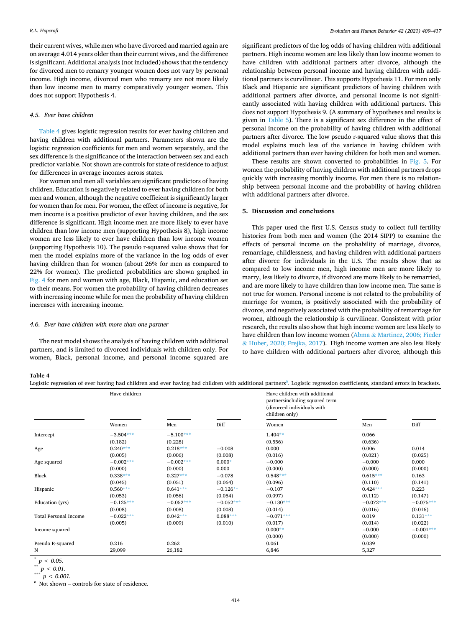their current wives, while men who have divorced and married again are on average 4.014 years older than their current wives, and the difference is significant. Additional analysis (not included) shows that the tendency for divorced men to remarry younger women does not vary by personal income. High income, divorced men who remarry are not more likely than low income men to marry comparatively younger women. This does not support Hypothesis 4.

## *4.5. Ever have children*

Table 4 gives logistic regression results for ever having children and having children with additional partners. Parameters shown are the logistic regression coefficients for men and women separately, and the sex difference is the significance of the interaction between sex and each predictor variable. Not shown are controls for state of residence to adjust for differences in average incomes across states.

For women and men all variables are significant predictors of having children. Education is negatively related to ever having children for both men and women, although the negative coefficient is significantly larger for women than for men. For women, the effect of income is negative, for men income is a positive predictor of ever having children, and the sex difference is significant. High income men are more likely to ever have children than low income men (supporting Hypothesis 8), high income women are less likely to ever have children than low income women (supporting Hypothesis 10). The pseudo r-squared value shows that for men the model explains more of the variance in the log odds of ever having children than for women (about 26% for men as compared to 22% for women). The predicted probabilities are shown graphed in [Fig. 4](#page-6-0) for men and women with age, Black, Hispanic, and education set to their means. For women the probability of having children decreases with increasing income while for men the probability of having children increases with increasing income.

#### *4.6. Ever have children with more than one partner*

The next model shows the analysis of having children with additional partners, and is limited to divorced individuals with children only. For women, Black, personal income, and personal income squared are significant predictors of the log odds of having children with additional partners. High income women are less likely than low income women to have children with additional partners after divorce, although the relationship between personal income and having children with additional partners is curvilinear. This supports Hypothesis 11. For men only Black and Hispanic are significant predictors of having children with additional partners after divorce, and personal income is not significantly associated with having children with additional partners. This does not support Hypothesis 9. (A summary of hypotheses and results is given in [Table 5\)](#page-6-0). There is a significant sex difference in the effect of personal income on the probability of having children with additional partners after divorce. The low pseudo r-squared value shows that this model explains much less of the variance in having children with additional partners than ever having children for both men and women.

These results are shown converted to probabilities in [Fig. 5.](#page-7-0) For women the probability of having children with additional partners drops quickly with increasing monthly income. For men there is no relationship between personal income and the probability of having children with additional partners after divorce.

## **5. Discussion and conclusions**

This paper used the first U.S. Census study to collect full fertility histories from both men and women (the 2014 SIPP) to examine the effects of personal income on the probability of marriage, divorce, remarriage, childlessness, and having children with additional partners after divorce for individuals in the U.S. The results show that as compared to low income men, high income men are more likely to marry, less likely to divorce, if divorced are more likely to be remarried, and are more likely to have children than low income men. The same is not true for women. Personal income is not related to the probability of marriage for women, is positively associated with the probability of divorce, and negatively associated with the probability of remarriage for women, although the relationship is curvilinear. Consistent with prior research, the results also show that high income women are less likely to have children than low income women (Abma & [Martinez, 2006; Fieder](#page-7-0)  & [Huber, 2020; Frejka, 2017](#page-7-0)). High income women are also less likely to have children with additional partners after divorce, although this

#### **Table 4**

Logistic regression of ever having had children and ever having had children with additional partners<sup>a</sup>. Logistic regression coefficients, standard errors in brackets.

|                              | Have children |             |             | Have children with additional<br>partnersincluding squared term<br>(divorced individuals with<br>children only) |             |             |
|------------------------------|---------------|-------------|-------------|-----------------------------------------------------------------------------------------------------------------|-------------|-------------|
|                              | Women         | Men         | Diff        | Women                                                                                                           | Men         | Diff        |
| Intercept                    | $-3.504***$   | $-5.100***$ |             | $1.404**$                                                                                                       | 0.066       |             |
|                              | (0.182)       | (0.228)     |             | (0.556)                                                                                                         | (0.636)     |             |
| Age                          | $0.240***$    | $0.218***$  | $-0.008$    | 0.000                                                                                                           | 0.006       | 0.014       |
|                              | (0.005)       | (0.006)     | (0.008)     | (0.016)                                                                                                         | (0.021)     | (0.025)     |
| Age squared                  | $-0.002***$   | $-0.002***$ | $0.000*$    | $-0.000$                                                                                                        | $-0.000$    | 0.000       |
|                              | (0.000)       | (0.000)     | 0.000       | (0.000)                                                                                                         | (0.000)     | (0.000)     |
| Black                        | $0.338***$    | $0.327***$  | $-0.078$    | $0.548***$                                                                                                      | $0.615***$  | 0.163       |
|                              | (0.045)       | (0.051)     | (0.064)     | (0.096)                                                                                                         | (0.110)     | (0.141)     |
| Hispanic                     | $0.560***$    | $0.641***$  | $-0.126**$  | $-0.107$                                                                                                        | $0.424***$  | 0.223       |
|                              | (0.053)       | (0.056)     | (0.054)     | (0.097)                                                                                                         | (0.112)     | (0.147)     |
| Education (yrs)              | $-0.125***$   | $-0.052***$ | $-0.052***$ | $-0.130***$                                                                                                     | $-0.072***$ | $-0.075***$ |
|                              | (0.008)       | (0.008)     | (0.008)     | (0.014)                                                                                                         | (0.016)     | (0.016)     |
| <b>Total Personal Income</b> | $-0.022***$   | $0.042***$  | $0.088***$  | $-0.071***$                                                                                                     | 0.019       | $0.131***$  |
|                              | (0.005)       | (0.009)     | (0.010)     | (0.017)                                                                                                         | (0.014)     | (0.022)     |
| Income squared               |               |             |             | $0.000**$                                                                                                       | $-0.000$    | $-0.001***$ |
|                              |               |             |             | (0.000)                                                                                                         | (0.000)     | (0.000)     |
| Pseudo R-squared             | 0.216         | 0.262       |             | 0.061                                                                                                           | 0.039       |             |
| N                            | 29,099        | 26,182      |             | 6,846                                                                                                           | 5,327       |             |

 $p < 0.05$ .

 $** p < 0.01.$ 

 $p < 0.001$ .

<sup>a</sup> Not shown – controls for state of residence.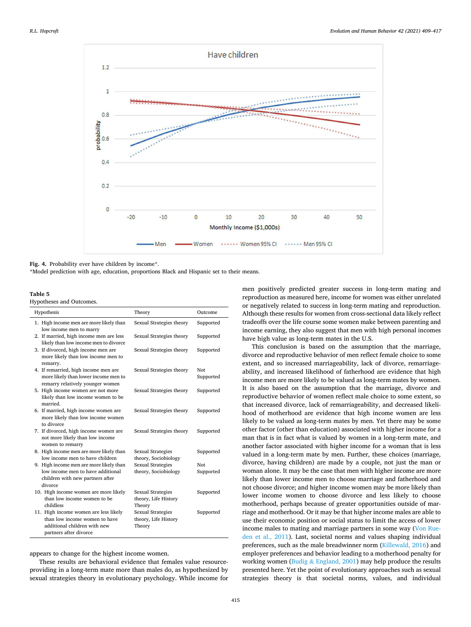<span id="page-6-0"></span>

Fig. 4. Probability ever have children by income\*.

\*Model prediction with age, education, proportions Black and Hispanic set to their means.

**Table 5** 

Hypotheses and Outcomes.

| Hypothesis                                                                                                                       | Theory                                                     | Outcome          |
|----------------------------------------------------------------------------------------------------------------------------------|------------------------------------------------------------|------------------|
| 1. High income men are more likely than<br>low income men to marry                                                               | Sexual Strategies theory                                   | Supported        |
| 2. If married, high income men are less<br>likely than low income men to divorce                                                 | Sexual Strategies theory                                   | Supported        |
| 3. If divorced, high income men are<br>more likely than low income men to<br>remarry.                                            | Sexual Strategies theory                                   | Supported        |
| 4. If remarried, high income men are<br>more likely than lower income men to<br>remarry relatively younger women                 | Sexual Strategies theory                                   | Not<br>Supported |
| 5. High income women are not more<br>likely than low income women to be<br>married.                                              | Sexual Strategies theory                                   | Supported        |
| 6. If married, high income women are<br>more likely than low income women<br>to divorce                                          | Sexual Strategies theory                                   | Supported        |
| 7. If divorced, high income women are<br>not more likely than low income<br>women to remarry                                     | Sexual Strategies theory                                   | Supported        |
| 8. High income men are more likely than<br>low income men to have children                                                       | Sexual Strategies<br>theory, Sociobiology                  | Supported        |
| 9. High income men are more likely than                                                                                          | <b>Sexual Strategies</b>                                   | Not              |
| low income men to have additional<br>children with new partners after<br>divorce                                                 | theory, Sociobiology                                       | Supported        |
| 10. High income women are more likely<br>than low income women to be<br>childless                                                | <b>Sexual Strategies</b><br>theory, Life History<br>Theory | Supported        |
| 11. High income women are less likely<br>than low income women to have<br>additional children with new<br>partners after divorce | <b>Sexual Strategies</b><br>theory, Life History<br>Theory | Supported        |

appears to change for the highest income women.

These results are behavioral evidence that females value resourceproviding in a long-term mate more than males do, as hypothesized by sexual strategies theory in evolutionary psychology. While income for men positively predicted greater success in long-term mating and reproduction as measured here, income for women was either unrelated or negatively related to success in long-term mating and reproduction. Although these results for women from cross-sectional data likely reflect tradeoffs over the life course some women make between parenting and income earning, they also suggest that men with high personal incomes have high value as long-term mates in the U.S.

This conclusion is based on the assumption that the marriage, divorce and reproductive behavior of men reflect female choice to some extent, and so increased marriageability, lack of divorce, remarriageability, and increased likelihood of fatherhood are evidence that high income men are more likely to be valued as long-term mates by women. It is also based on the assumption that the marriage, divorce and reproductive behavior of women reflect male choice to some extent, so that increased divorce, lack of remarriageability, and decreased likelihood of motherhood are evidence that high income women are less likely to be valued as long-term mates by men. Yet there may be some other factor (other than education) associated with higher income for a man that is in fact what is valued by women in a long-term mate, and another factor associated with higher income for a woman that is less valued in a long-term mate by men. Further, these choices (marriage, divorce, having children) are made by a couple, not just the man or woman alone. It may be the case that men with higher income are more likely than lower income men to choose marriage and fatherhood and not choose divorce; and higher income women may be more likely than lower income women to choose divorce and less likely to choose motherhood, perhaps because of greater opportunities outside of marriage and motherhood. Or it may be that higher income males are able to use their economic position or social status to limit the access of lower income males to mating and marriage partners in some way ([Von Rue](#page-8-0)[den et al., 2011](#page-8-0)). Last, societal norms and values shaping individual preferences, such as the male breadwinner norm [\(Killewald, 2016](#page-8-0)) and employer preferences and behavior leading to a motherhood penalty for working women (Budig & [England, 2001\)](#page-7-0) may help produce the results presented here. Yet the point of evolutionary approaches such as sexual strategies theory is that societal norms, values, and individual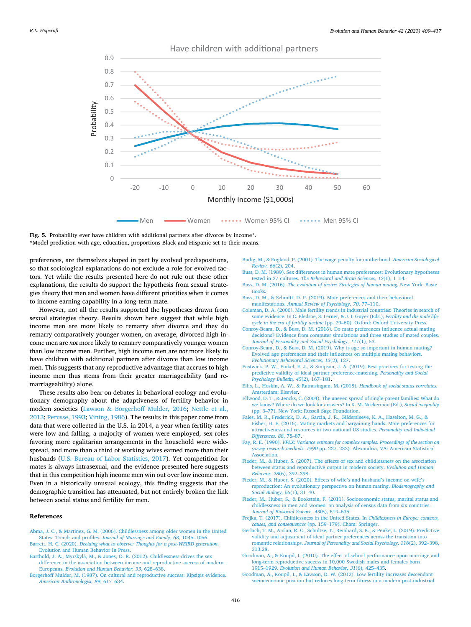<span id="page-7-0"></span>

Have children with additional partners

Fig. 5. Probability ever have children with additional partners after divorce by income<sup>\*</sup>. \*Model prediction with age, education, proportions Black and Hispanic set to their means.

preferences, are themselves shaped in part by evolved predispositions, so that sociological explanations do not exclude a role for evolved factors. Yet while the results presented here do not rule out these other explanations, the results do support the hypothesis from sexual strategies theory that men and women have different priorities when it comes to income earning capability in a long-term mate.

However, not all the results supported the hypotheses drawn from sexual strategies theory. Results shown here suggest that while high income men are more likely to remarry after divorce and they do remarry comparatively younger women, on average, divorced high income men are *not* more likely to remarry comparatively younger women than low income men. Further, high income men are *not* more likely to have children with additional partners after divorce than low income men. This suggests that any reproductive advantage that accrues to high income men thus stems from their greater marriageability (and remarriageability) alone.

These results also bear on debates in behavioral ecology and evolutionary demography about the adaptiveness of fertility behavior in modern societies (Lawson & [Borgerhoff Mulder, 2016](#page-8-0); [Nettle et al.,](#page-8-0)  [2013; Perusse, 1993](#page-8-0); [Vining, 1986](#page-8-0)). The results in this paper come from data that were collected in the U.S. in 2014, a year when fertility rates were low and falling, a majority of women were employed, sex roles favoring more egalitarian arrangements in the household were widespread, and more than a third of working wives earned more than their husbands ([U.S. Bureau of Labor Statistics, 2017](#page-8-0)). Yet competition for mates is always intrasexual, and the evidence presented here suggests that in this competition high income men win out over low income men. Even in a historically unusual ecology, this finding suggests that the demographic transition has attenuated, but not entirely broken the link between social status and fertility for men.

## **References**

- [Abma, J. C., & Martinez, G. M. \(2006\). Childlessness among older women in the United](http://refhub.elsevier.com/S1090-5138(21)00022-2/rf0005)  States: Trends and profiles. *[Journal of Marriage and Family, 68](http://refhub.elsevier.com/S1090-5138(21)00022-2/rf0005)*, 1045–1056. Barrett, H. C. (2020). *[Deciding what to observe: Thoughts for a post-WEIRD generation](http://refhub.elsevier.com/S1090-5138(21)00022-2/rf0010)*.
- [Evolution and Human Behavior In Press.](http://refhub.elsevier.com/S1090-5138(21)00022-2/rf0010) Barthold, J. A., Myrskylä, M., & Jones, O. R. (2012). Childlessness drives the sex
- [difference in the association between income and reproductive success of modern](http://refhub.elsevier.com/S1090-5138(21)00022-2/rf0015)  Europeans. *[Evolution and Human Behavior, 33](http://refhub.elsevier.com/S1090-5138(21)00022-2/rf0015)*, 628–638.
- [Borgerhoff Mulder, M. \(1987\). On cultural and reproductive success: Kipsigis evidence.](http://refhub.elsevier.com/S1090-5138(21)00022-2/rf0020)  *[American Anthropologist, 89](http://refhub.elsevier.com/S1090-5138(21)00022-2/rf0020)*, 617–634.
- [Budig, M., & England, P. \(2001\). The wage penalty for motherhood.](http://refhub.elsevier.com/S1090-5138(21)00022-2/rf0025) *American Sociological [Review, 66](http://refhub.elsevier.com/S1090-5138(21)00022-2/rf0025)*(2), 204.
- [Buss, D. M. \(1989\). Sex differences in human mate preferences: Evolutionary hypotheses](http://refhub.elsevier.com/S1090-5138(21)00022-2/rf0030)  tested in 37 cultures. *[The Behavioral and Brain Sciences, 12](http://refhub.elsevier.com/S1090-5138(21)00022-2/rf0030)*(1), 1–14.
- Buss, D. M. (2016). *[The evolution of desire: Strategies of human mating](http://refhub.elsevier.com/S1090-5138(21)00022-2/rf0035)*. New York: Basic [Books](http://refhub.elsevier.com/S1090-5138(21)00022-2/rf0035).
- [Buss, D. M., & Schmitt, D. P. \(2019\). Mate preferences and their behavioral](http://refhub.elsevier.com/S1090-5138(21)00022-2/rf0040)  manifestations. *[Annual Review of Psychology, 70](http://refhub.elsevier.com/S1090-5138(21)00022-2/rf0040)*, 77–110.
- [Coleman, D. A. \(2000\). Male fertility trends in industrial countries: Theories in search of](http://refhub.elsevier.com/S1090-5138(21)00022-2/rf0045)  [some evidence. In C. Bledsoe, S. Lerner, & J. I. Guyer \(Eds.\),](http://refhub.elsevier.com/S1090-5138(21)00022-2/rf0045) *Fertility and the male lifecycle in the era of fertility decline* (pp. 29–[60\). Oxford: Oxford University Press](http://refhub.elsevier.com/S1090-5138(21)00022-2/rf0045).
- [Conroy-Beam, D., & Buss, D. M. \(2016\). Do mate preferences influence actual mating](http://refhub.elsevier.com/S1090-5138(21)00022-2/rf0050) [decisions? Evidence from computer simulations and three studies of mated couples.](http://refhub.elsevier.com/S1090-5138(21)00022-2/rf0050)  *[Journal of Personality and Social Psychology, 111](http://refhub.elsevier.com/S1090-5138(21)00022-2/rf0050)*(1), 53.
- [Conroy-Beam, D., & Buss, D. M. \(2019\). Why is age so important in human mating?](http://refhub.elsevier.com/S1090-5138(21)00022-2/rf0055)  [Evolved age preferences and their influences on multiple mating behaviors.](http://refhub.elsevier.com/S1090-5138(21)00022-2/rf0055) *[Evolutionary Behavioral Sciences, 13](http://refhub.elsevier.com/S1090-5138(21)00022-2/rf0055)*(2), 127.
- [Eastwick, P. W., Finkel, E. J., & Simpson, J. A. \(2019\). Best practices for testing the](http://refhub.elsevier.com/S1090-5138(21)00022-2/rf0060) [predictive validity of ideal partner preference-matching.](http://refhub.elsevier.com/S1090-5138(21)00022-2/rf0060) *Personality and Social [Psychology Bulletin, 45](http://refhub.elsevier.com/S1090-5138(21)00022-2/rf0060)*(2), 167–181.
- [Ellis, L., Hoskin, A. W., & Ratnasingam, M. \(2018\).](http://refhub.elsevier.com/S1090-5138(21)00022-2/rf0065) *Handbook of social status correlates*. [Amsterdam: Elsevier.](http://refhub.elsevier.com/S1090-5138(21)00022-2/rf0065)
- [Ellwood, D. T., & Jencks, C. \(2004\). The uneven spread of single-parent families: What do](http://refhub.elsevier.com/S1090-5138(21)00022-2/rf0070)  [we know? Where do we look for answers? In K. M. Neckerman \(Ed.\),](http://refhub.elsevier.com/S1090-5138(21)00022-2/rf0070) *Social inequality*  (pp. 3–[77\). New York: Russell Sage Foundation.](http://refhub.elsevier.com/S1090-5138(21)00022-2/rf0070)
- [Fales, M. R., Frederick, D. A., Garcia, J. R., Gildersleeve, K. A., Haselton, M. G., &](http://refhub.elsevier.com/S1090-5138(21)00022-2/rf0075) [Fisher, H. E. \(2016\). Mating markets and bargaining hands: Mate preferences for](http://refhub.elsevier.com/S1090-5138(21)00022-2/rf0075)  [attractiveness and resources in two national US studies.](http://refhub.elsevier.com/S1090-5138(21)00022-2/rf0075) *Personality and Individual [Differences, 88](http://refhub.elsevier.com/S1090-5138(21)00022-2/rf0075)*, 78–87.
- Fay, R. E. (1990). *[VPLX: Variance estimate for complex samples. Proceedings of the section on](http://refhub.elsevier.com/S1090-5138(21)00022-2/rf0080)  survey research methods. 1990* pp. 227–[232\). Alexandria, VA: American Statistical](http://refhub.elsevier.com/S1090-5138(21)00022-2/rf0080)  [Association.](http://refhub.elsevier.com/S1090-5138(21)00022-2/rf0080)
- [Fieder, M., & Huber, S. \(2007\). The effects of sex and childlessness on the association](http://refhub.elsevier.com/S1090-5138(21)00022-2/rf0085)  [between status and reproductive output in modern society.](http://refhub.elsevier.com/S1090-5138(21)00022-2/rf0085) *Evolution and Human [Behavior, 28](http://refhub.elsevier.com/S1090-5138(21)00022-2/rf0085)*(6), 392–398.
- [Fieder, M., & Huber, S. \(2020\). Effects of wife](http://refhub.elsevier.com/S1090-5138(21)00022-2/rf0090)'s and husband's income on wife's [reproduction: An evolutionary perspective on human mating.](http://refhub.elsevier.com/S1090-5138(21)00022-2/rf0090) *Biodemography and [Social Biology, 65](http://refhub.elsevier.com/S1090-5138(21)00022-2/rf0090)*(1), 31–40.
- [Fieder, M., Huber, S., & Bookstein, F. \(2011\). Socioeconomic status, marital status and](http://refhub.elsevier.com/S1090-5138(21)00022-2/rf5000) [childlessness in men and women: an analysis of census data from six countries.](http://refhub.elsevier.com/S1090-5138(21)00022-2/rf5000)  *[Journal of Biosocial Science, 43](http://refhub.elsevier.com/S1090-5138(21)00022-2/rf5000)*(5), 619–635.
- [Frejka, T. \(2017\). Childlessness in the United States. In](http://refhub.elsevier.com/S1090-5138(21)00022-2/rf0095) *Childlessness in Europe: contexts, [causes, and consequences](http://refhub.elsevier.com/S1090-5138(21)00022-2/rf0095)* (pp. 159–179). Cham: Springer.
- [Gerlach, T. M., Arslan, R. C., Schultze, T., Reinhard, S. K., & Penke, L. \(2019\). Predictive](http://refhub.elsevier.com/S1090-5138(21)00022-2/rf0100)  [validity and adjustment of ideal partner preferences across the transition into](http://refhub.elsevier.com/S1090-5138(21)00022-2/rf0100) romantic relationships. *[Journal of Personality and Social Psychology, 116](http://refhub.elsevier.com/S1090-5138(21)00022-2/rf0100)*(2), 392–398, [313.28](http://refhub.elsevier.com/S1090-5138(21)00022-2/rf0100).
- [Goodman, A., & Koupil, I. \(2010\). The effect of school performance upon marriage and](http://refhub.elsevier.com/S1090-5138(21)00022-2/rf0105)  [long-term reproductive success in 10,000 Swedish males and females born](http://refhub.elsevier.com/S1090-5138(21)00022-2/rf0105) 1915–1929. *[Evolution and Human Behavior, 31](http://refhub.elsevier.com/S1090-5138(21)00022-2/rf0105)*(6), 425–435.
- [Goodman, A., Koupil, I., & Lawson, D. W. \(2012\). Low fertility increases descendant](http://refhub.elsevier.com/S1090-5138(21)00022-2/rf0110)  [socioeconomic position but reduces long-term fitness in a modern post-industrial](http://refhub.elsevier.com/S1090-5138(21)00022-2/rf0110)